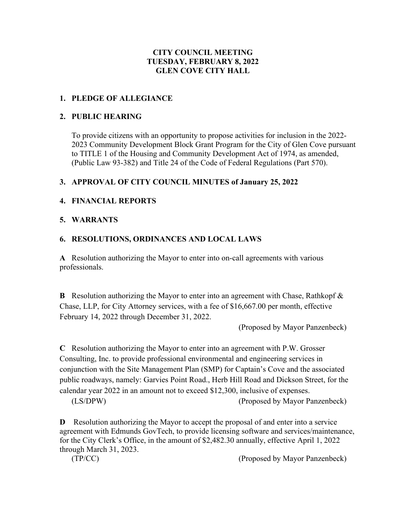# **CITY COUNCIL MEETING TUESDAY, FEBRUARY 8, 2022 GLEN COVE CITY HALL**

#### **1. PLEDGE OF ALLEGIANCE**

#### **2. PUBLIC HEARING**

To provide citizens with an opportunity to propose activities for inclusion in the 2022- 2023 Community Development Block Grant Program for the City of Glen Cove pursuant to TITLE 1 of the Housing and Community Development Act of 1974, as amended, (Public Law 93-382) and Title 24 of the Code of Federal Regulations (Part 570).

# **3. APPROVAL OF CITY COUNCIL MINUTES of January 25, 2022**

#### **4. FINANCIAL REPORTS**

#### **5. WARRANTS**

# **6. RESOLUTIONS, ORDINANCES AND LOCAL LAWS**

**A** Resolution authorizing the Mayor to enter into on-call agreements with various professionals.

**B** Resolution authorizing the Mayor to enter into an agreement with Chase, Rathkopf & Chase, LLP, for City Attorney services, with a fee of \$16,667.00 per month, effective February 14, 2022 through December 31, 2022.

(Proposed by Mayor Panzenbeck)

**C** Resolution authorizing the Mayor to enter into an agreement with P.W. Grosser Consulting, Inc. to provide professional environmental and engineering services in conjunction with the Site Management Plan (SMP) for Captain's Cove and the associated public roadways, namely: Garvies Point Road., Herb Hill Road and Dickson Street, for the calendar year 2022 in an amount not to exceed \$12,300, inclusive of expenses.

(LS/DPW) (Proposed by Mayor Panzenbeck)

**D** Resolution authorizing the Mayor to accept the proposal of and enter into a service agreement with Edmunds GovTech, to provide licensing software and services/maintenance, for the City Clerk's Office, in the amount of \$2,482.30 annually, effective April 1, 2022 through March 31, 2023.

(TP/CC) (Proposed by Mayor Panzenbeck)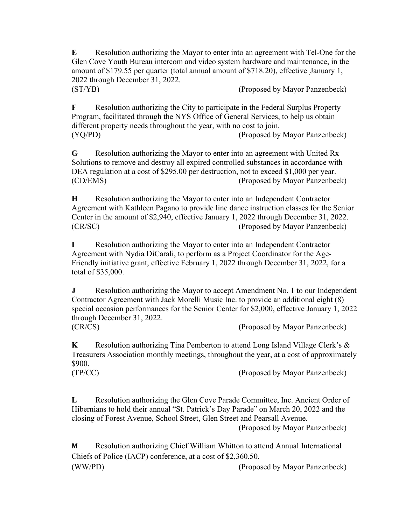**E** Resolution authorizing the Mayor to enter into an agreement with Tel-One for the Glen Cove Youth Bureau intercom and video system hardware and maintenance, in the amount of \$179.55 per quarter (total annual amount of \$718.20), effective January 1, 2022 through December 31, 2022. (ST/YB) (Proposed by Mayor Panzenbeck)

**F** Resolution authorizing the City to participate in the Federal Surplus Property Program, facilitated through the NYS Office of General Services, to help us obtain different property needs throughout the year, with no cost to join. (YQ/PD) (Proposed by Mayor Panzenbeck)

**G** Resolution authorizing the Mayor to enter into an agreement with United Rx Solutions to remove and destroy all expired controlled substances in accordance with DEA regulation at a cost of \$295.00 per destruction, not to exceed \$1,000 per year. (CD/EMS) (Proposed by Mayor Panzenbeck)

**H** Resolution authorizing the Mayor to enter into an Independent Contractor Agreement with Kathleen Pagano to provide line dance instruction classes for the Senior Center in the amount of \$2,940, effective January 1, 2022 through December 31, 2022. (CR/SC) (Proposed by Mayor Panzenbeck)

**I** Resolution authorizing the Mayor to enter into an Independent Contractor Agreement with Nydia DiCarali, to perform as a Project Coordinator for the Age-Friendly initiative grant, effective February 1, 2022 through December 31, 2022, for a total of \$35,000.

**J** Resolution authorizing the Mayor to accept Amendment No. 1 to our Independent Contractor Agreement with Jack Morelli Music Inc. to provide an additional eight (8) special occasion performances for the Senior Center for \$2,000, effective January 1, 2022 through December 31, 2022. (CR/CS) (Proposed by Mayor Panzenbeck)

**K** Resolution authorizing Tina Pemberton to attend Long Island Village Clerk's & Treasurers Association monthly meetings, throughout the year, at a cost of approximately \$900.

(TP/CC) (Proposed by Mayor Panzenbeck)

**L** Resolution authorizing the Glen Cove Parade Committee, Inc. Ancient Order of Hibernians to hold their annual "St. Patrick's Day Parade" on March 20, 2022 and the closing of Forest Avenue, School Street, Glen Street and Pearsall Avenue.

(Proposed by Mayor Panzenbeck)

**M** Resolution authorizing Chief William Whitton to attend Annual International Chiefs of Police (IACP) conference, at a cost of \$2,360.50. (WW/PD) (Proposed by Mayor Panzenbeck)